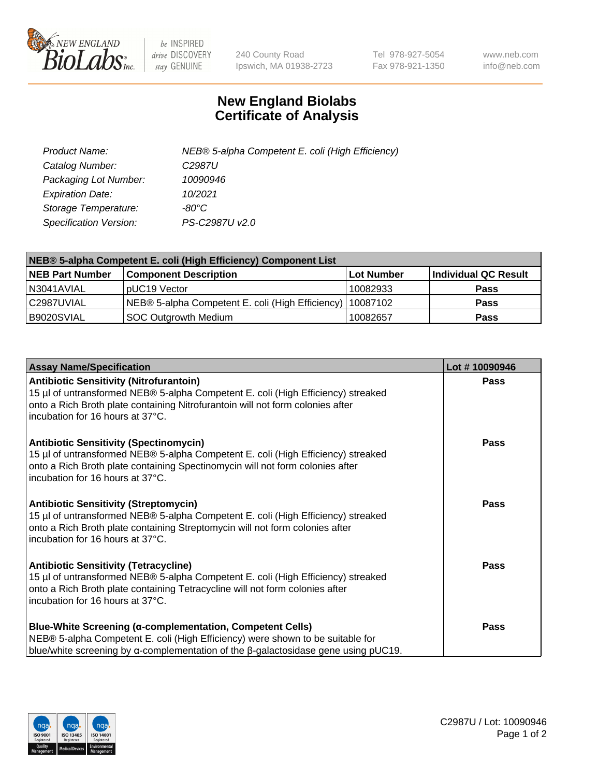

 $be$  INSPIRED drive DISCOVERY stay GENUINE

240 County Road Ipswich, MA 01938-2723 Tel 978-927-5054 Fax 978-921-1350 www.neb.com info@neb.com

## **New England Biolabs Certificate of Analysis**

| Product Name:                 | NEB® 5-alpha Competent E. coli (High Efficiency) |
|-------------------------------|--------------------------------------------------|
| Catalog Number:               | C <sub>2987</sub> U                              |
| Packaging Lot Number:         | 10090946                                         |
| <b>Expiration Date:</b>       | 10/2021                                          |
| Storage Temperature:          | -80°C                                            |
| <b>Specification Version:</b> | PS-C2987U v2.0                                   |

| NEB® 5-alpha Competent E. coli (High Efficiency) Component List |                                                             |            |                      |  |
|-----------------------------------------------------------------|-------------------------------------------------------------|------------|----------------------|--|
| <b>NEB Part Number</b>                                          | <b>Component Description</b>                                | Lot Number | Individual QC Result |  |
| N3041AVIAL                                                      | pUC19 Vector                                                | 10082933   | <b>Pass</b>          |  |
| C2987UVIAL                                                      | NEB® 5-alpha Competent E. coli (High Efficiency)   10087102 |            | <b>Pass</b>          |  |
| B9020SVIAL                                                      | SOC Outgrowth Medium                                        | 10082657   | <b>Pass</b>          |  |

| <b>Assay Name/Specification</b>                                                                                                                                                                                                                          | Lot #10090946 |
|----------------------------------------------------------------------------------------------------------------------------------------------------------------------------------------------------------------------------------------------------------|---------------|
| <b>Antibiotic Sensitivity (Nitrofurantoin)</b><br>15 µl of untransformed NEB® 5-alpha Competent E. coli (High Efficiency) streaked<br>onto a Rich Broth plate containing Nitrofurantoin will not form colonies after<br>incubation for 16 hours at 37°C. | <b>Pass</b>   |
| <b>Antibiotic Sensitivity (Spectinomycin)</b><br>15 µl of untransformed NEB® 5-alpha Competent E. coli (High Efficiency) streaked<br>onto a Rich Broth plate containing Spectinomycin will not form colonies after<br>incubation for 16 hours at 37°C.   | <b>Pass</b>   |
| <b>Antibiotic Sensitivity (Streptomycin)</b><br>15 µl of untransformed NEB® 5-alpha Competent E. coli (High Efficiency) streaked<br>onto a Rich Broth plate containing Streptomycin will not form colonies after<br>incubation for 16 hours at 37°C.     | Pass          |
| <b>Antibiotic Sensitivity (Tetracycline)</b><br>15 µl of untransformed NEB® 5-alpha Competent E. coli (High Efficiency) streaked<br>onto a Rich Broth plate containing Tetracycline will not form colonies after<br>incubation for 16 hours at 37°C.     | <b>Pass</b>   |
| <b>Blue-White Screening (α-complementation, Competent Cells)</b><br>NEB® 5-alpha Competent E. coli (High Efficiency) were shown to be suitable for<br>blue/white screening by $\alpha$ -complementation of the $\beta$ -galactosidase gene using pUC19.  | <b>Pass</b>   |